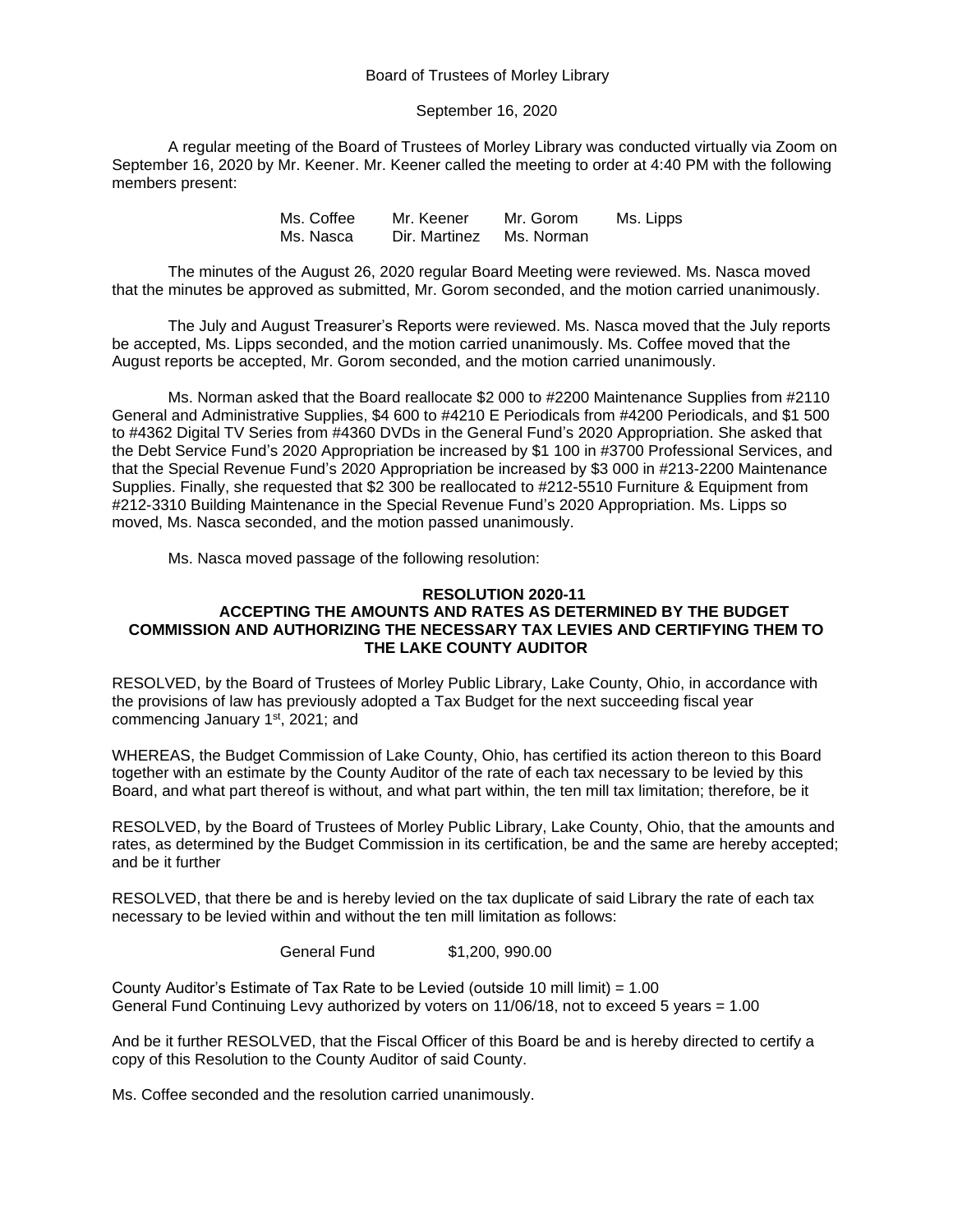Board of Trustees of Morley Library

September 16, 2020

A regular meeting of the Board of Trustees of Morley Library was conducted virtually via Zoom on September 16, 2020 by Mr. Keener. Mr. Keener called the meeting to order at 4:40 PM with the following members present:

> Ms. Coffee Mr. Keener Mr. Gorom Ms. Lipps Ms. Nasca Dir. Martinez Ms. Norman

The minutes of the August 26, 2020 regular Board Meeting were reviewed. Ms. Nasca moved that the minutes be approved as submitted, Mr. Gorom seconded, and the motion carried unanimously.

The July and August Treasurer's Reports were reviewed. Ms. Nasca moved that the July reports be accepted, Ms. Lipps seconded, and the motion carried unanimously. Ms. Coffee moved that the August reports be accepted, Mr. Gorom seconded, and the motion carried unanimously.

Ms. Norman asked that the Board reallocate \$2 000 to #2200 Maintenance Supplies from #2110 General and Administrative Supplies, \$4 600 to #4210 E Periodicals from #4200 Periodicals, and \$1 500 to #4362 Digital TV Series from #4360 DVDs in the General Fund's 2020 Appropriation. She asked that the Debt Service Fund's 2020 Appropriation be increased by \$1 100 in #3700 Professional Services, and that the Special Revenue Fund's 2020 Appropriation be increased by \$3 000 in #213-2200 Maintenance Supplies. Finally, she requested that \$2 300 be reallocated to #212-5510 Furniture & Equipment from #212-3310 Building Maintenance in the Special Revenue Fund's 2020 Appropriation. Ms. Lipps so moved, Ms. Nasca seconded, and the motion passed unanimously.

Ms. Nasca moved passage of the following resolution:

## **RESOLUTION 2020-11 ACCEPTING THE AMOUNTS AND RATES AS DETERMINED BY THE BUDGET COMMISSION AND AUTHORIZING THE NECESSARY TAX LEVIES AND CERTIFYING THEM TO THE LAKE COUNTY AUDITOR**

RESOLVED, by the Board of Trustees of Morley Public Library, Lake County, Ohio, in accordance with the provisions of law has previously adopted a Tax Budget for the next succeeding fiscal year commencing January 1st, 2021; and

WHEREAS, the Budget Commission of Lake County, Ohio, has certified its action thereon to this Board together with an estimate by the County Auditor of the rate of each tax necessary to be levied by this Board, and what part thereof is without, and what part within, the ten mill tax limitation; therefore, be it

RESOLVED, by the Board of Trustees of Morley Public Library, Lake County, Ohio, that the amounts and rates, as determined by the Budget Commission in its certification, be and the same are hereby accepted; and be it further

RESOLVED, that there be and is hereby levied on the tax duplicate of said Library the rate of each tax necessary to be levied within and without the ten mill limitation as follows:

General Fund \$1,200, 990.00

County Auditor's Estimate of Tax Rate to be Levied (outside 10 mill limit) =  $1.00$ General Fund Continuing Levy authorized by voters on 11/06/18, not to exceed 5 years = 1.00

And be it further RESOLVED, that the Fiscal Officer of this Board be and is hereby directed to certify a copy of this Resolution to the County Auditor of said County.

Ms. Coffee seconded and the resolution carried unanimously.